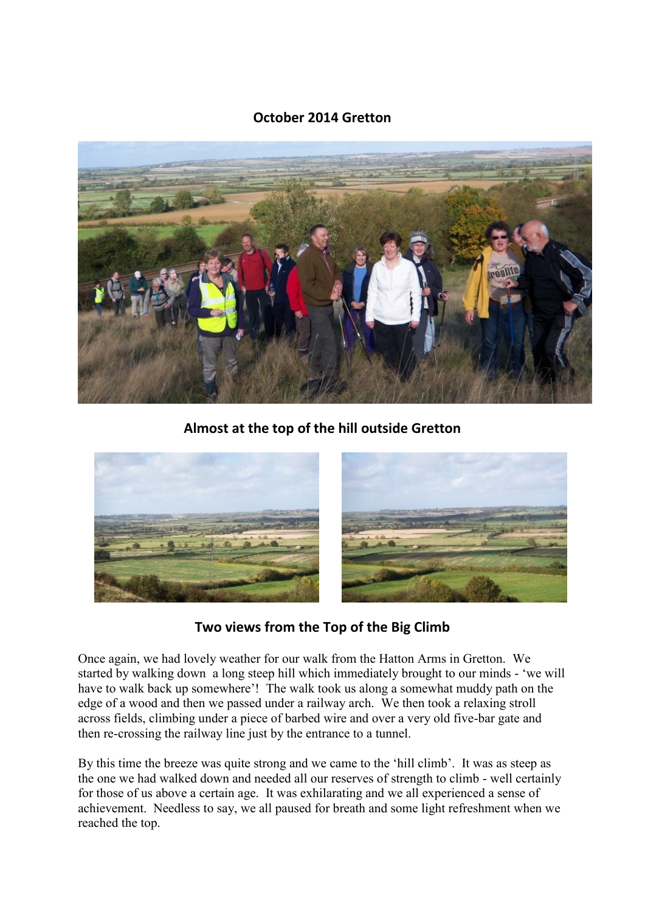## **October 2014 Gretton**



**Almost at the top of the hill outside Gretton**



**Two views from the Top of the Big Climb**

Once again, we had lovely weather for our walk from the Hatton Arms in Gretton. We started by walking down a long steep hill which immediately brought to our minds - 'we will have to walk back up somewhere'! The walk took us along a somewhat muddy path on the edge of a wood and then we passed under a railway arch. We then took a relaxing stroll across fields, climbing under a piece of barbed wire and over a very old five-bar gate and then re-crossing the railway line just by the entrance to a tunnel.

By this time the breeze was quite strong and we came to the 'hill climb'. It was as steep as the one we had walked down and needed all our reserves of strength to climb - well certainly for those of us above a certain age. It was exhilarating and we all experienced a sense of achievement. Needless to say, we all paused for breath and some light refreshment when we reached the top.